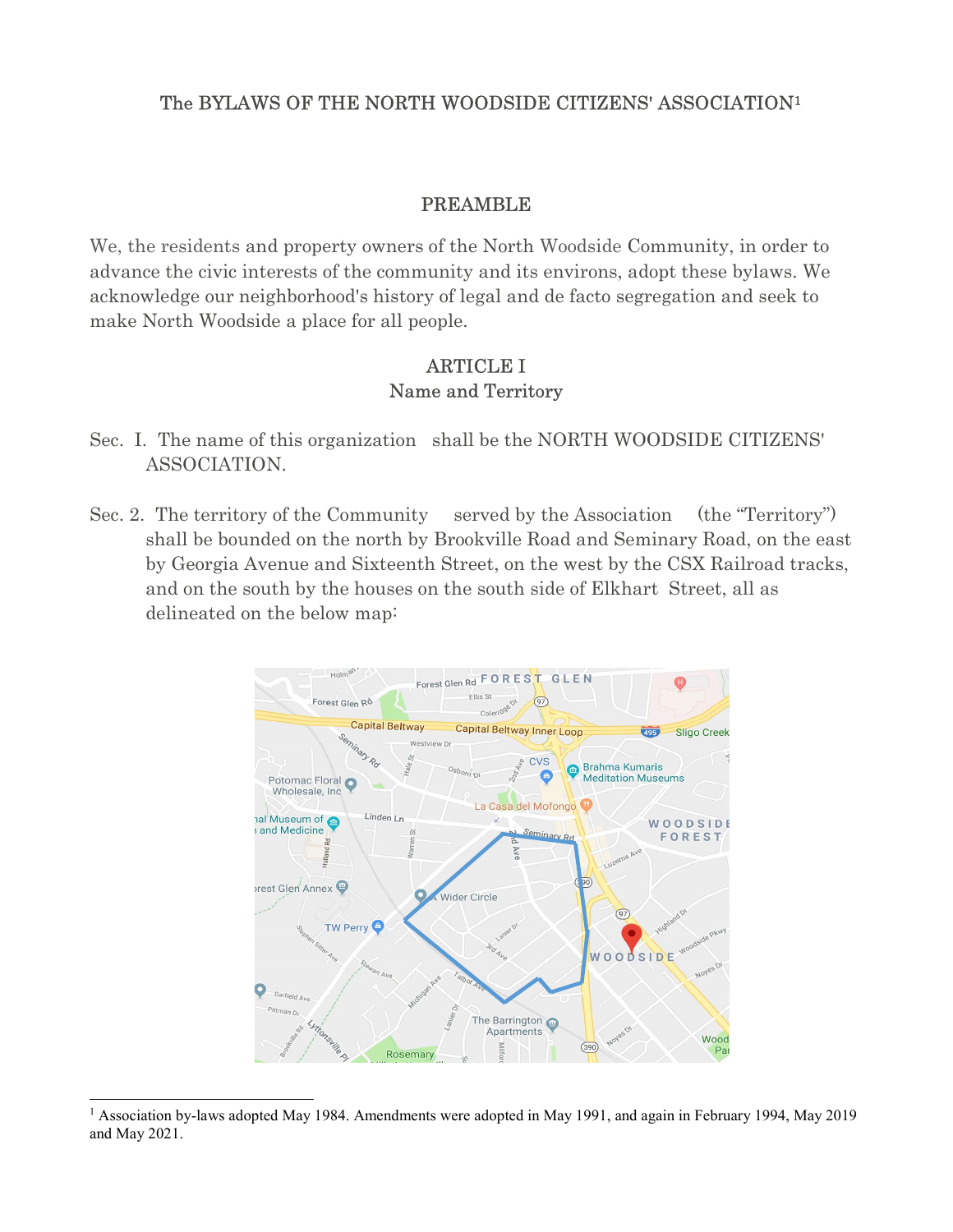#### The BYLAWS OF THE NORTH WOODSIDE CITIZENS' ASSOCIATION<sup>1</sup>

#### PREAMBLE

We, the residents and property owners of the North Woodside Community, in order to advance the civic interests of the community and its environs, adopt these bylaws. We acknowledge our neighborhood's history of legal and de facto segregation and seek to make North Woodside a place for all people.

#### ARTICLE I Name and Territory

- Sec. I. The name of this organization shall be the NORTH WOODSIDE CITIZENS' ASSOCIATION.
- Sec. 2. The territory of the Community served by the Association (the "Territory") shall be bounded on the north by Brookville Road and Seminary Road, on the east by Georgia Avenue and Sixteenth Street, on the west by the CSX Railroad tracks, and on the south by the houses on the south side of Elkhart Street, all as delineated on the below map:



<sup>&</sup>lt;sup>1</sup> Association by-laws adopted May 1984. Amendments were adopted in May 1991, and again in February 1994, May 2019 and May 2021.

-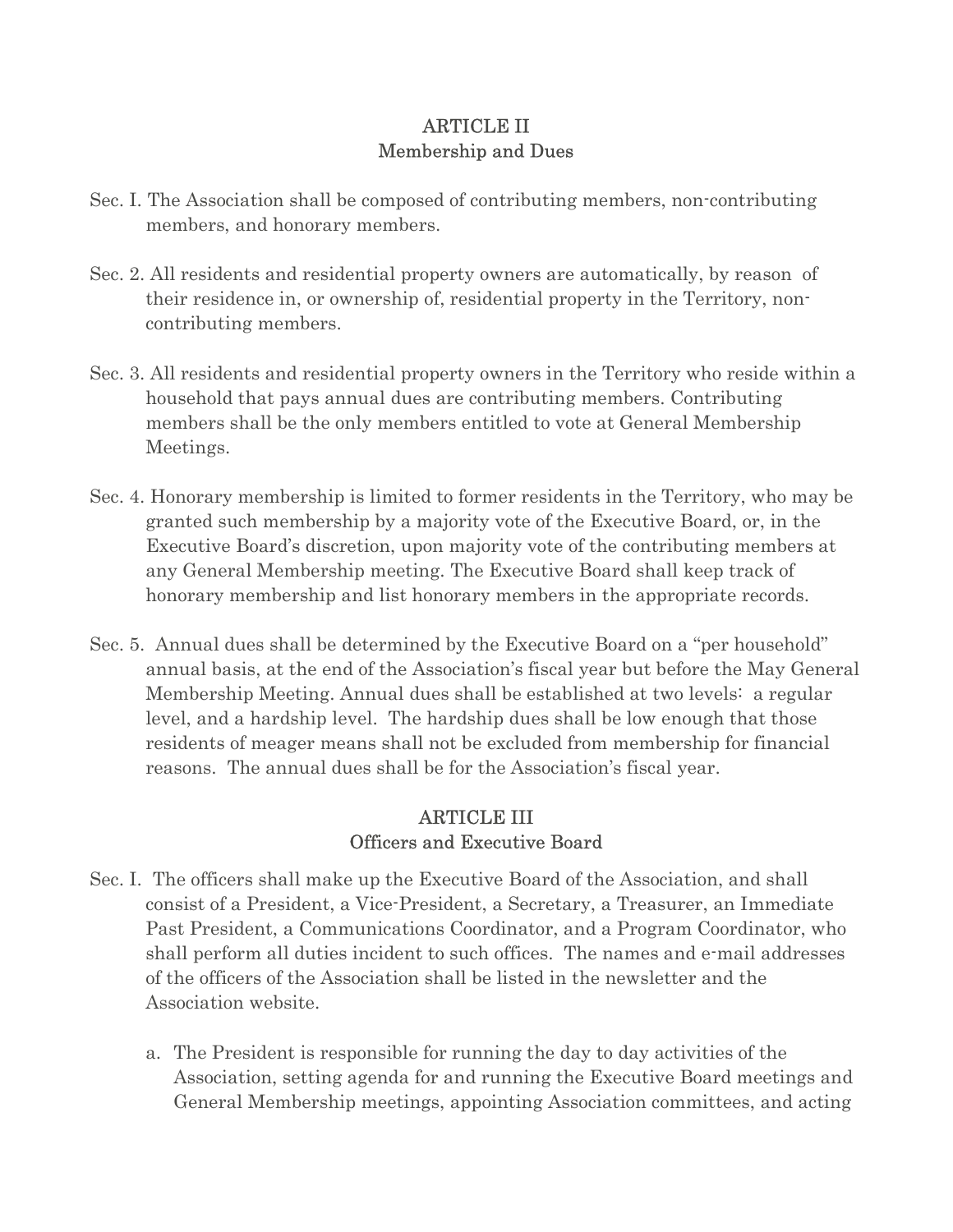### ARTICLE II Membership and Dues

- Sec. I. The Association shall be composed of contributing members, non-contributing members, and honorary members.
- Sec. 2. All residents and residential property owners are automatically, by reason of their residence in, or ownership of, residential property in the Territory, noncontributing members.
- Sec. 3. All residents and residential property owners in the Territory who reside within a household that pays annual dues are contributing members. Contributing members shall be the only members entitled to vote at General Membership Meetings.
- Sec. 4. Honorary membership is limited to former residents in the Territory, who may be granted such membership by a majority vote of the Executive Board, or, in the Executive Board's discretion, upon majority vote of the contributing members at any General Membership meeting. The Executive Board shall keep track of honorary membership and list honorary members in the appropriate records.
- Sec. 5. Annual dues shall be determined by the Executive Board on a "per household" annual basis, at the end of the Association's fiscal year but before the May General Membership Meeting. Annual dues shall be established at two levels: a regular level, and a hardship level. The hardship dues shall be low enough that those residents of meager means shall not be excluded from membership for financial reasons. The annual dues shall be for the Association's fiscal year.

# ARTICLE III Officers and Executive Board

- Sec. I. The officers shall make up the Executive Board of the Association, and shall consist of a President, a Vice-President, a Secretary, a Treasurer, an Immediate Past President, a Communications Coordinator, and a Program Coordinator, who shall perform all duties incident to such offices. The names and e-mail addresses of the officers of the Association shall be listed in the newsletter and the Association website.
	- a. The President is responsible for running the day to day activities of the Association, setting agenda for and running the Executive Board meetings and General Membership meetings, appointing Association committees, and acting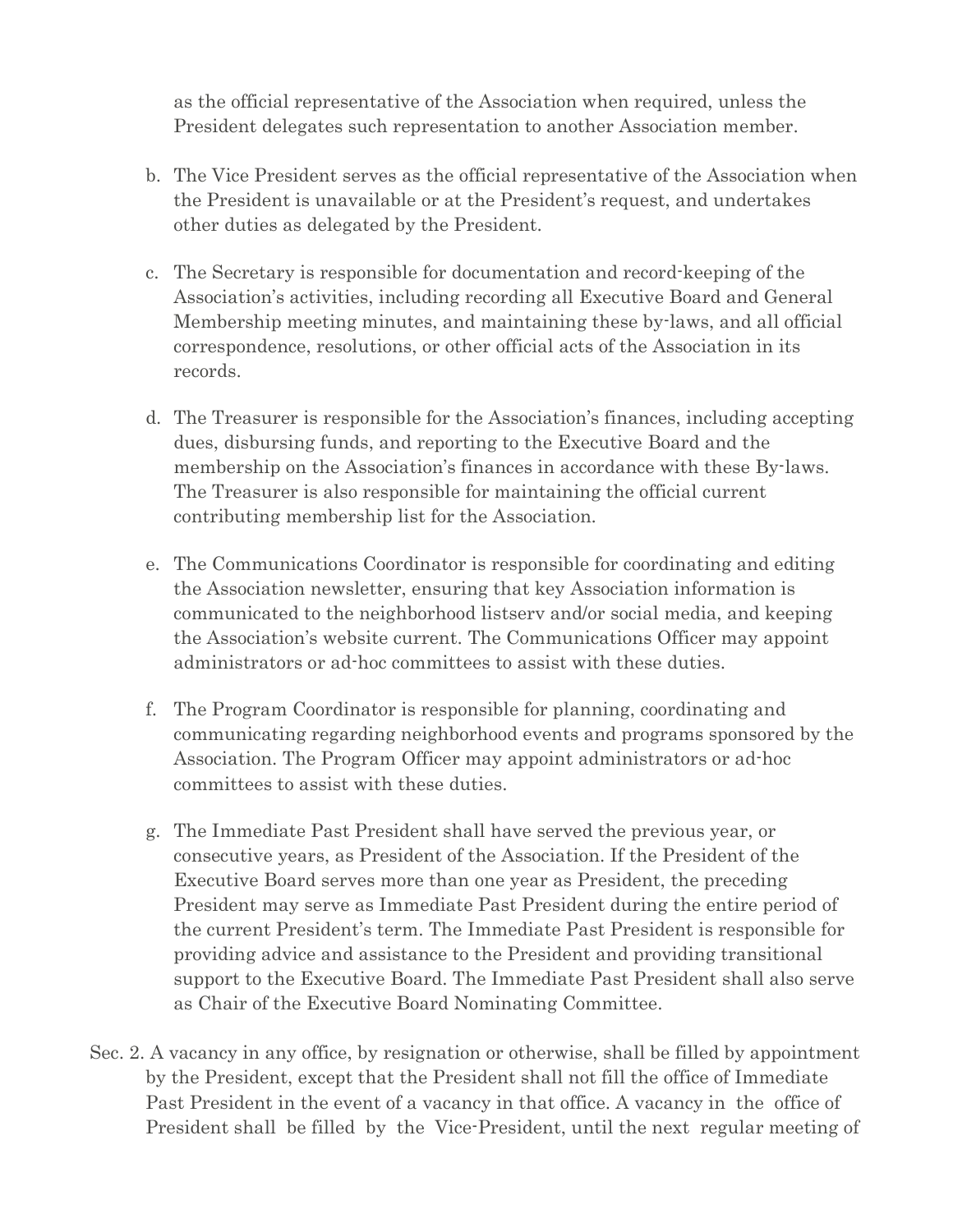as the official representative of the Association when required, unless the President delegates such representation to another Association member.

- b. The Vice President serves as the official representative of the Association when the President is unavailable or at the President's request, and undertakes other duties as delegated by the President.
- c. The Secretary is responsible for documentation and record-keeping of the Association's activities, including recording all Executive Board and General Membership meeting minutes, and maintaining these by-laws, and all official correspondence, resolutions, or other official acts of the Association in its records.
- d. The Treasurer is responsible for the Association's finances, including accepting dues, disbursing funds, and reporting to the Executive Board and the membership on the Association's finances in accordance with these By-laws. The Treasurer is also responsible for maintaining the official current contributing membership list for the Association.
- e. The Communications Coordinator is responsible for coordinating and editing the Association newsletter, ensuring that key Association information is communicated to the neighborhood listserv and/or social media, and keeping the Association's website current. The Communications Officer may appoint administrators or ad-hoc committees to assist with these duties.
- f. The Program Coordinator is responsible for planning, coordinating and communicating regarding neighborhood events and programs sponsored by the Association. The Program Officer may appoint administrators or ad-hoc committees to assist with these duties.
- g. The Immediate Past President shall have served the previous year, or consecutive years, as President of the Association. If the President of the Executive Board serves more than one year as President, the preceding President may serve as Immediate Past President during the entire period of the current President's term. The Immediate Past President is responsible for providing advice and assistance to the President and providing transitional support to the Executive Board. The Immediate Past President shall also serve as Chair of the Executive Board Nominating Committee.
- Sec. 2. A vacancy in any office, by resignation or otherwise, shall be filled by appointment by the President, except that the President shall not fill the office of Immediate Past President in the event of a vacancy in that office. A vacancy in the office of President shall be filled by the Vice-President, until the next regular meeting of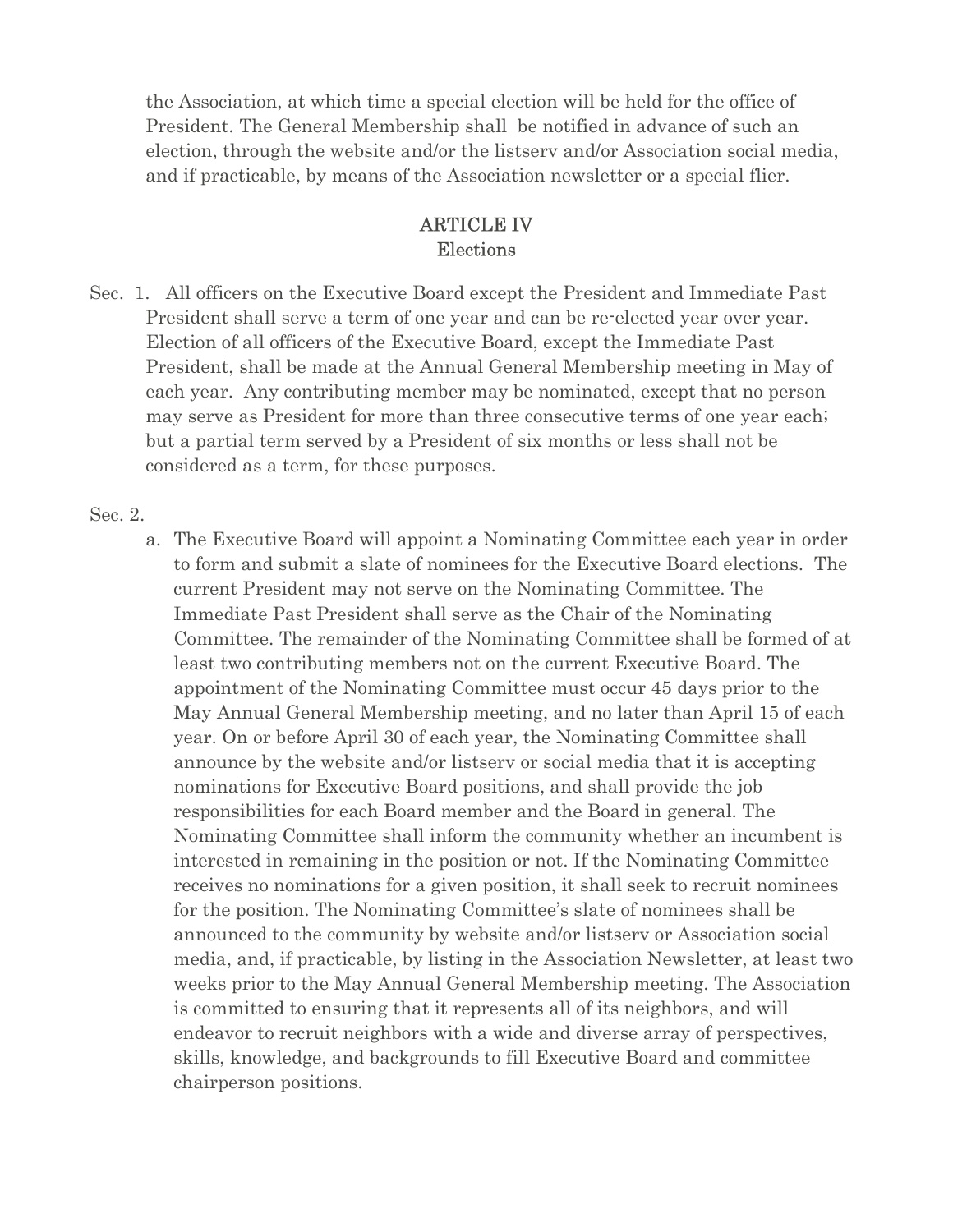the Association, at which time a special election will be held for the office of President. The General Membership shall be notified in advance of such an election, through the website and/or the listserv and/or Association social media, and if practicable, by means of the Association newsletter or a special flier.

#### ARTICLE IV Elections

Sec. 1. All officers on the Executive Board except the President and Immediate Past President shall serve a term of one year and can be re-elected year over year. Election of all officers of the Executive Board, except the Immediate Past President, shall be made at the Annual General Membership meeting in May of each year. Any contributing member may be nominated, except that no person may serve as President for more than three consecutive terms of one year each; but a partial term served by a President of six months or less shall not be considered as a term, for these purposes.

#### Sec. 2.

a. The Executive Board will appoint a Nominating Committee each year in order to form and submit a slate of nominees for the Executive Board elections. The current President may not serve on the Nominating Committee. The Immediate Past President shall serve as the Chair of the Nominating Committee. The remainder of the Nominating Committee shall be formed of at least two contributing members not on the current Executive Board. The appointment of the Nominating Committee must occur 45 days prior to the May Annual General Membership meeting, and no later than April 15 of each year. On or before April 30 of each year, the Nominating Committee shall announce by the website and/or listserv or social media that it is accepting nominations for Executive Board positions, and shall provide the job responsibilities for each Board member and the Board in general. The Nominating Committee shall inform the community whether an incumbent is interested in remaining in the position or not. If the Nominating Committee receives no nominations for a given position, it shall seek to recruit nominees for the position. The Nominating Committee's slate of nominees shall be announced to the community by website and/or listserv or Association social media, and, if practicable, by listing in the Association Newsletter, at least two weeks prior to the May Annual General Membership meeting. The Association is committed to ensuring that it represents all of its neighbors, and will endeavor to recruit neighbors with a wide and diverse array of perspectives, skills, knowledge, and backgrounds to fill Executive Board and committee chairperson positions.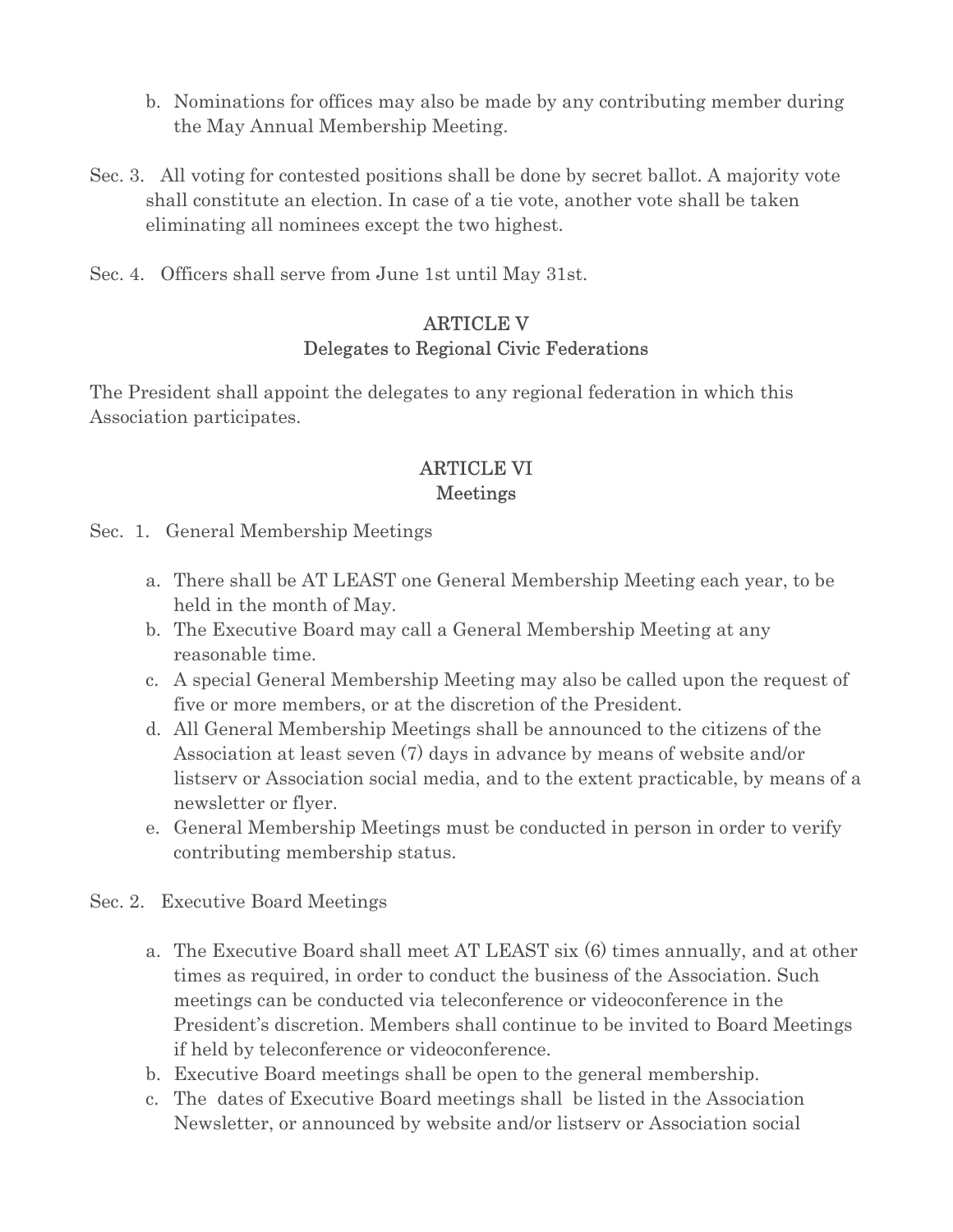- b. Nominations for offices may also be made by any contributing member during the May Annual Membership Meeting.
- Sec. 3. All voting for contested positions shall be done by secret ballot. A majority vote shall constitute an election. In case of a tie vote, another vote shall be taken eliminating all nominees except the two highest.
- Sec. 4. Officers shall serve from June 1st until May 31st.

## ARTICLE V Delegates to Regional Civic Federations

The President shall appoint the delegates to any regional federation in which this Association participates.

## ARTICLE VI Meetings

- Sec. 1. General Membership Meetings
	- a. There shall be AT LEAST one General Membership Meeting each year, to be held in the month of May.
	- b. The Executive Board may call a General Membership Meeting at any reasonable time.
	- c. A special General Membership Meeting may also be called upon the request of five or more members, or at the discretion of the President.
	- d. All General Membership Meetings shall be announced to the citizens of the Association at least seven (7) days in advance by means of website and/or listserv or Association social media, and to the extent practicable, by means of a newsletter or flyer.
	- e. General Membership Meetings must be conducted in person in order to verify contributing membership status.
- Sec. 2. Executive Board Meetings
	- a. The Executive Board shall meet AT LEAST six (6) times annually, and at other times as required, in order to conduct the business of the Association. Such meetings can be conducted via teleconference or videoconference in the President's discretion. Members shall continue to be invited to Board Meetings if held by teleconference or videoconference.
	- b. Executive Board meetings shall be open to the general membership.
	- c. The dates of Executive Board meetings shall be listed in the Association Newsletter, or announced by website and/or listserv or Association social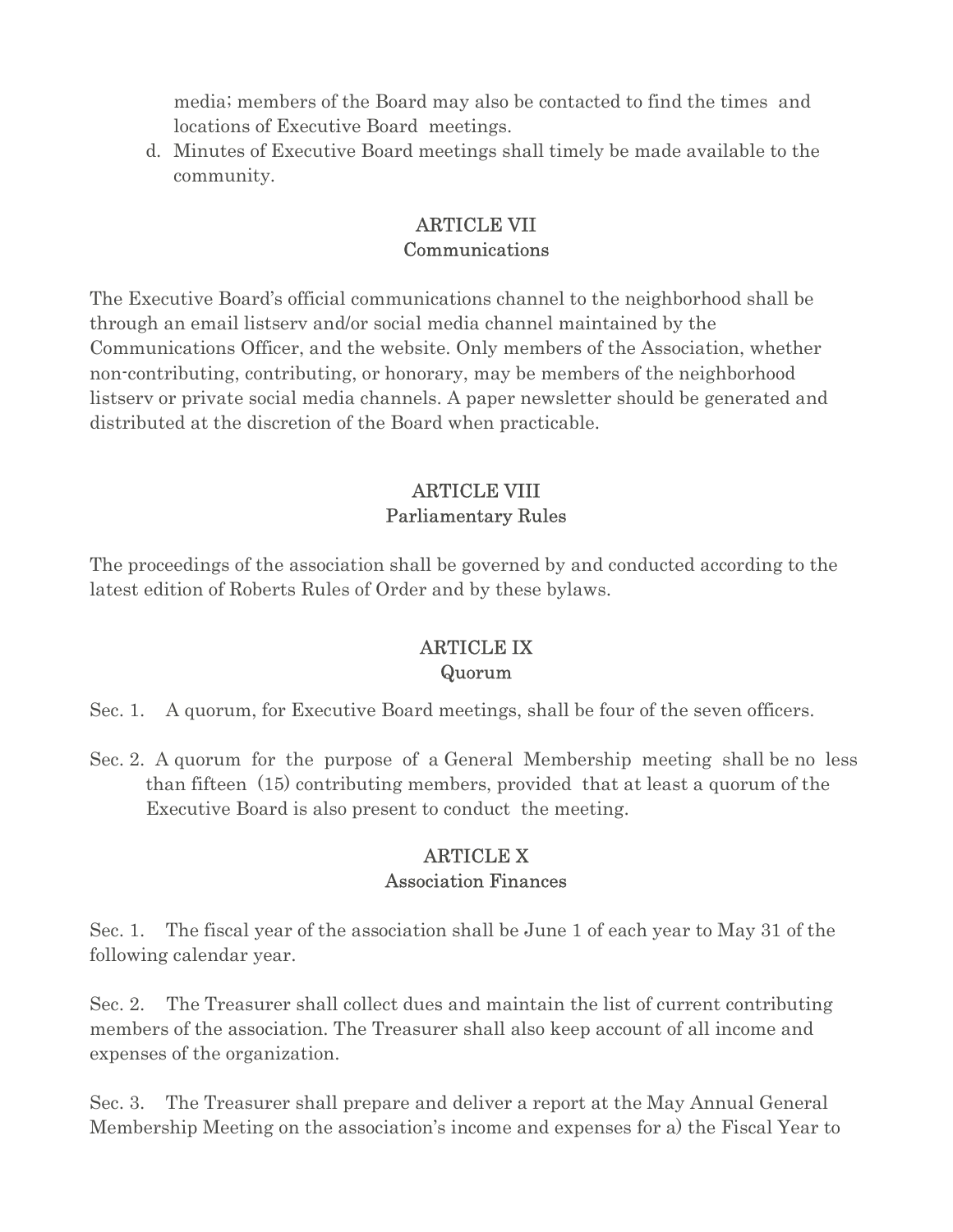media; members of the Board may also be contacted to find the times and locations of Executive Board meetings.

d. Minutes of Executive Board meetings shall timely be made available to the community.

## ARTICLE VII Communications

The Executive Board's official communications channel to the neighborhood shall be through an email listserv and/or social media channel maintained by the Communications Officer, and the website. Only members of the Association, whether non-contributing, contributing, or honorary, may be members of the neighborhood listserv or private social media channels. A paper newsletter should be generated and distributed at the discretion of the Board when practicable.

# ARTICLE VIII Parliamentary Rules

The proceedings of the association shall be governed by and conducted according to the latest edition of Roberts Rules of Order and by these bylaws.

# ARTICLE IX Quorum

Sec. 1. A quorum, for Executive Board meetings, shall be four of the seven officers.

Sec. 2. A quorum for the purpose of a General Membership meeting shall be no less than fifteen (15) contributing members, provided that at least a quorum of the Executive Board is also present to conduct the meeting.

# ARTICLE X Association Finances

Sec. 1. The fiscal year of the association shall be June 1 of each year to May 31 of the following calendar year.

Sec. 2. The Treasurer shall collect dues and maintain the list of current contributing members of the association. The Treasurer shall also keep account of all income and expenses of the organization.

Sec. 3. The Treasurer shall prepare and deliver a report at the May Annual General Membership Meeting on the association's income and expenses for a) the Fiscal Year to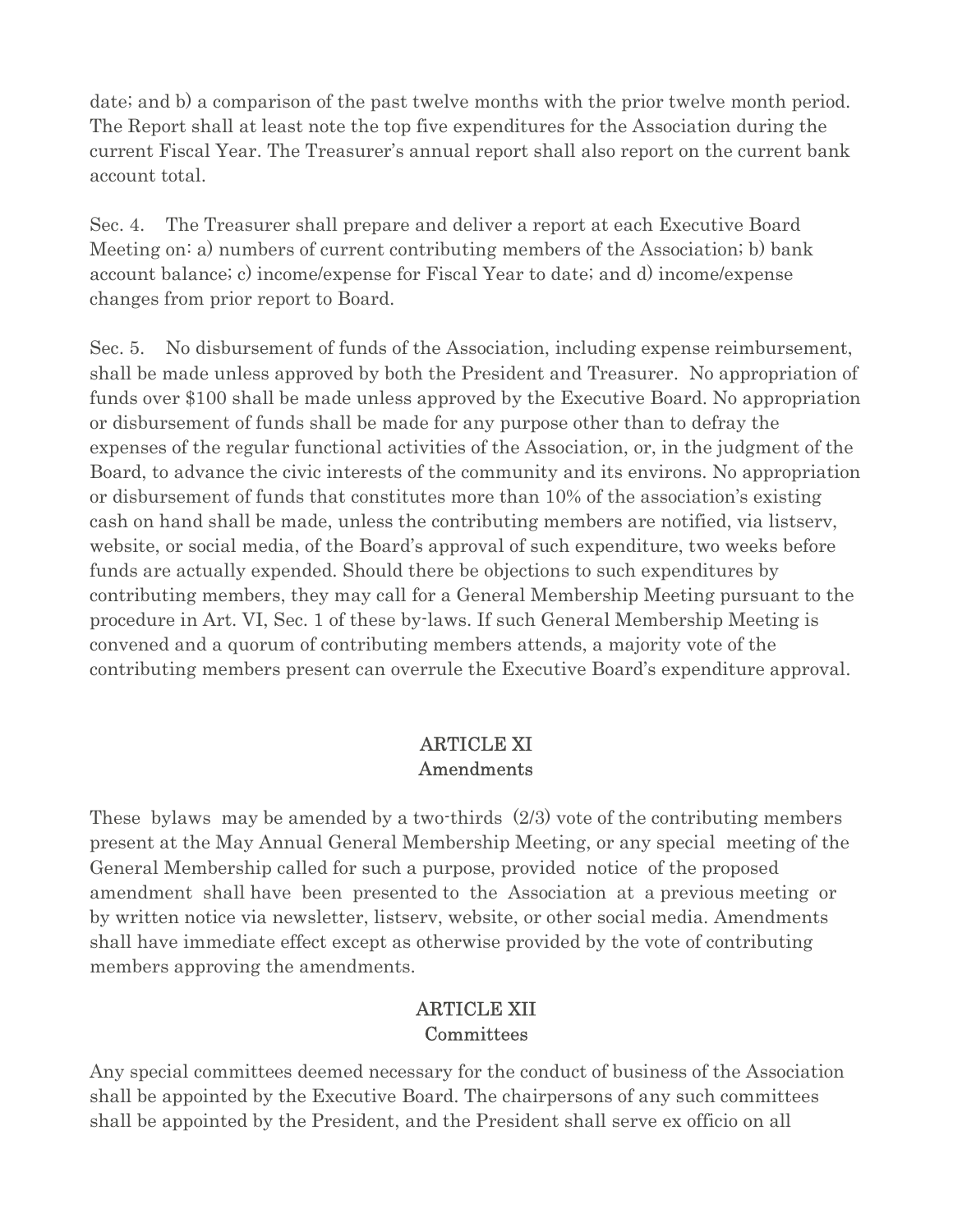date; and b) a comparison of the past twelve months with the prior twelve month period. The Report shall at least note the top five expenditures for the Association during the current Fiscal Year. The Treasurer's annual report shall also report on the current bank account total.

Sec. 4. The Treasurer shall prepare and deliver a report at each Executive Board Meeting on: a) numbers of current contributing members of the Association; b) bank account balance; c) income/expense for Fiscal Year to date; and d) income/expense changes from prior report to Board.

Sec. 5. No disbursement of funds of the Association, including expense reimbursement, shall be made unless approved by both the President and Treasurer. No appropriation of funds over \$100 shall be made unless approved by the Executive Board. No appropriation or disbursement of funds shall be made for any purpose other than to defray the expenses of the regular functional activities of the Association, or, in the judgment of the Board, to advance the civic interests of the community and its environs. No appropriation or disbursement of funds that constitutes more than 10% of the association's existing cash on hand shall be made, unless the contributing members are notified, via listserv, website, or social media, of the Board's approval of such expenditure, two weeks before funds are actually expended. Should there be objections to such expenditures by contributing members, they may call for a General Membership Meeting pursuant to the procedure in Art. VI, Sec. 1 of these by-laws. If such General Membership Meeting is convened and a quorum of contributing members attends, a majority vote of the contributing members present can overrule the Executive Board's expenditure approval.

## ARTICLE XI Amendments

These bylaws may be amended by a two-thirds (2/3) vote of the contributing members present at the May Annual General Membership Meeting, or any special meeting of the General Membership called for such a purpose, provided notice of the proposed amendment shall have been presented to the Association at a previous meeting or by written notice via newsletter, listserv, website, or other social media. Amendments shall have immediate effect except as otherwise provided by the vote of contributing members approving the amendments.

## ARTICLE XII **Committees**

Any special committees deemed necessary for the conduct of business of the Association shall be appointed by the Executive Board. The chairpersons of any such committees shall be appointed by the President, and the President shall serve ex officio on all